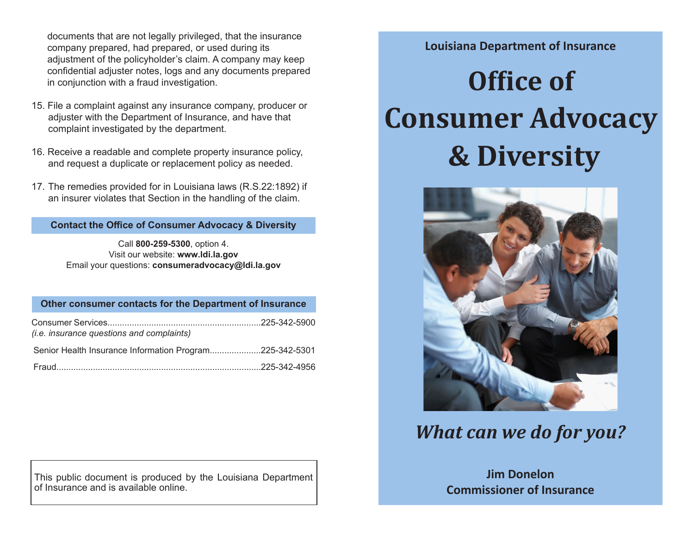documents that are not legally privileged, that the insurance company prepared, had prepared, or used during its adjustment of the policyholder's claim. A company may keep confidential adjuster notes, logs and any documents prepared in conjunction with a fraud investigation.

- 15. File a complaint against any insurance company, producer or adjuster with the Department of Insurance, and have that complaint investigated by the department.
- 16. Receive a readable and complete property insurance policy, and request a duplicate or replacement policy as needed.
- 17. The remedies provided for in Louisiana laws (R.S.22:1892) if an insurer violates that Section in the handling of the claim.

### **Contact the Office of Consumer Advocacy & Diversity**

Call **800-259-5300**, option 4. Visit our website: **[www.ldi.la.gov](https://www.ldi.la.gov/)** Email your questions: **consumeradvocacy@ldi.la.gov**

#### **Other consumer contacts for the Department of Insurance**

| <i>(i.e. insurance questions and complaints)</i>        |  |
|---------------------------------------------------------|--|
| Senior Health Insurance Information Program225-342-5301 |  |
|                                                         |  |

This public document is produced by the Louisiana Department of Insurance and is available online.

## **Louisiana Department of Insurance**

# **Office of Consumer Advocacy & Diversity**



## *What can we do for you?*

**Jim Donelon Commissioner of Insurance**